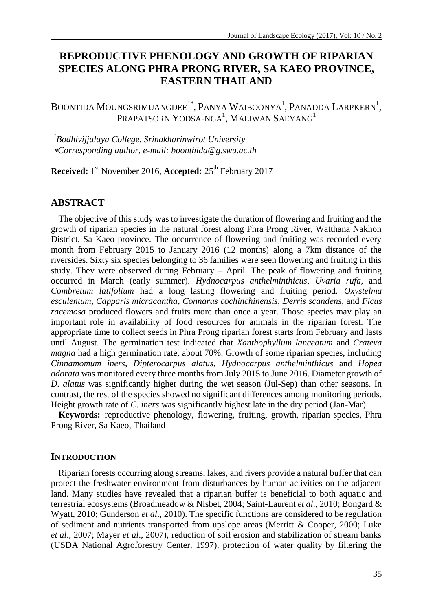# **REPRODUCTIVE PHENOLOGY AND GROWTH OF RIPARIAN SPECIES ALONG PHRA PRONG RIVER, SA KAEO PROVINCE, EASTERN THAILAND**

BOONTIDA MOUNGSRIMUANGDEE<sup>1\*</sup>, PANYA WAIBOONYA<sup>1</sup>, PANADDA LARPKERN<sup>1</sup>, PRAPATSORN YODSA-NGA $^{\rm l}$ , Maliwan Saeyang $^{\rm l}$ 

*<sup>1</sup>Bodhivijjalaya College, Srinakharinwirot University Corresponding author, e-mail: boonthida@g.swu.ac.th*

**Received:** 1 st November 2016, **Accepted:** 25th February 2017

# **ABSTRACT**

The objective of this study was to investigate the duration of flowering and fruiting and the growth of riparian species in the natural forest along Phra Prong River, Watthana Nakhon District, Sa Kaeo province. The occurrence of flowering and fruiting was recorded every month from February 2015 to January 2016 (12 months) along a 7km distance of the riversides. Sixty six species belonging to 36 families were seen flowering and fruiting in this study. They were observed during February – April. The peak of flowering and fruiting occurred in March (early summer). *Hydnocarpus anthelminthicus*, *Uvaria rufa*, and *Combretum latifolium* had a long lasting flowering and fruiting period. *Oxystelma esculentum, Capparis micracantha*, *Connarus cochinchinensis*, *Derris scandens*, and *Ficus racemosa* produced flowers and fruits more than once a year. Those species may play an important role in availability of food resources for animals in the riparian forest. The appropriate time to collect seeds in Phra Prong riparian forest starts from February and lasts until August. The germination test indicated that *Xanthophyllum lanceatum* and *Crateva magna* had a high germination rate, about 70%. Growth of some riparian species, including *Cinnamomum iners*, *Dipterocarpus alatus*, *Hydnocarpus anthelminthicus* and *Hopea odorata* was monitored every three months from July 2015 to June 2016. Diameter growth of *D. alatus* was significantly higher during the wet season (Jul-Sep) than other seasons. In contrast, the rest of the species showed no significant differences among monitoring periods. Height growth rate of *C. iners* was significantly highest late in the dry period (Jan-Mar).

**Keywords:** reproductive phenology, flowering, fruiting, growth, riparian species, Phra Prong River, Sa Kaeo, Thailand

#### **INTRODUCTION**

Riparian forests occurring along streams, lakes, and rivers provide a natural buffer that can protect the freshwater environment from disturbances by human activities on the adjacent land. Many studies have revealed that a riparian buffer is beneficial to both aquatic and terrestrial ecosystems (Broadmeadow & Nisbet, 2004; Saint-Laurent *et al*., 2010; Bongard & Wyatt, 2010; Gunderson *et al*., 2010). The specific functions are considered to be regulation of sediment and nutrients transported from upslope areas (Merritt & Cooper, 2000; Luke *et al*., 2007; Mayer *et al*., 2007), reduction of soil erosion and stabilization of stream banks (USDA National Agroforestry Center, 1997), protection of water quality by filtering the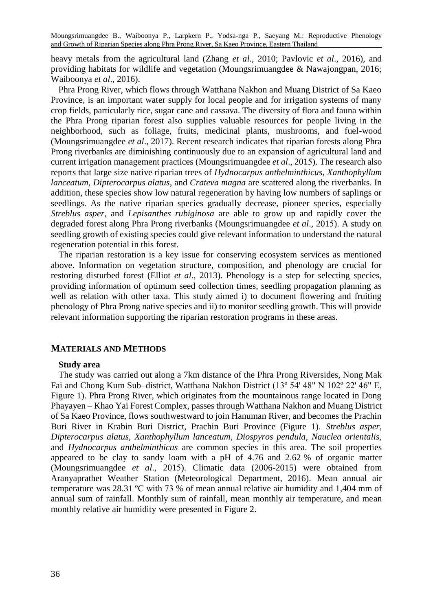heavy metals from the agricultural land (Zhang *et al*., 2010; Pavlovic *et al*., 2016), and providing habitats for wildlife and vegetation (Moungsrimuangdee & Nawajongpan, 2016; Waiboonya *et al*., 2016).

Phra Prong River, which flows through Watthana Nakhon and Muang District of Sa Kaeo Province, is an important water supply for local people and for irrigation systems of many crop fields, particularly rice, sugar cane and cassava. The diversity of flora and fauna within the Phra Prong riparian forest also supplies valuable resources for people living in the neighborhood, such as foliage, fruits, medicinal plants, mushrooms, and fuel-wood (Moungsrimuangdee *et al*., 2017). Recent research indicates that riparian forests along Phra Prong riverbanks are diminishing continuously due to an expansion of agricultural land and current irrigation management practices (Moungsrimuangdee *et al*., 2015). The research also reports that large size native riparian trees of *Hydnocarpus anthelminthicus*, *Xanthophyllum lanceatum*, *Dipterocarpus alatus*, and *Crateva magna* are scattered along the riverbanks. In addition, these species show low natural regeneration by having low numbers of saplings or seedlings. As the native riparian species gradually decrease, pioneer species, especially *Streblus asper*, and *Lepisanthes rubiginosa* are able to grow up and rapidly cover the degraded forest along Phra Prong riverbanks (Moungsrimuangdee *et al*., 2015). A study on seedling growth of existing species could give relevant information to understand the natural regeneration potential in this forest.

The riparian restoration is a key issue for conserving ecosystem services as mentioned above. Information on vegetation structure, composition, and phenology are crucial for restoring disturbed forest (Elliot *et al*., 2013). Phenology is a step for selecting species, providing information of optimum seed collection times, seedling propagation planning as well as relation with other taxa. This study aimed i) to document flowering and fruiting phenology of Phra Prong native species and ii) to monitor seedling growth. This will provide relevant information supporting the riparian restoration programs in these areas.

#### **MATERIALS AND METHODS**

#### **Study area**

The study was carried out along a 7km distance of the Phra Prong Riversides, Nong Mak Fai and Chong Kum Sub–district, Watthana Nakhon District (13º 54' 48" N 102º 22' 46" E, Figure 1). Phra Prong River, which originates from the mountainous range located in Dong Phayayen – Khao Yai Forest Complex, passes through Watthana Nakhon and Muang District of Sa Kaeo Province, flows southwestward to join Hanuman River, and becomes the Prachin Buri River in Krabin Buri District, Prachin Buri Province (Figure 1). *Streblus asper*, *Dipterocarpus alatus*, *Xanthophyllum lanceatum*, *Diospyros pendula*, *Nauclea orientalis*, and *Hydnocarpus anthelminthicus* are common species in this area. The soil properties appeared to be clay to sandy loam with a pH of 4.76 and 2.62 % of organic matter (Moungsrimuangdee *et al*., 2015). Climatic data (2006-2015) were obtained from Aranyaprathet Weather Station (Meteorological Department, 2016). Mean annual air temperature was 28.31 ºC with 73 % of mean annual relative air humidity and 1,404 mm of annual sum of rainfall. Monthly sum of rainfall, mean monthly air temperature, and mean monthly relative air humidity were presented in Figure 2.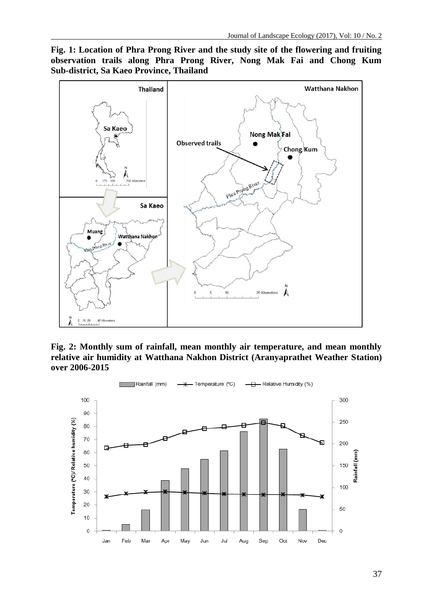**Fig. 1: Location of Phra Prong River and the study site of the flowering and fruiting observation trails along Phra Prong River, Nong Mak Fai and Chong Kum Sub-district, Sa Kaeo Province, Thailand**



**Fig. 2: Monthly sum of rainfall, mean monthly air temperature, and mean monthly relative air humidity at Watthana Nakhon District (Aranyaprathet Weather Station) over 2006-2015**

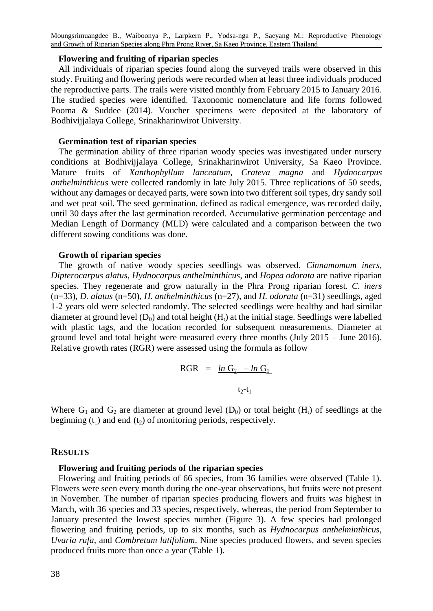## **Flowering and fruiting of riparian species**

All individuals of riparian species found along the surveyed trails were observed in this study. Fruiting and flowering periods were recorded when at least three individuals produced the reproductive parts. The trails were visited monthly from February 2015 to January 2016. The studied species were identified. Taxonomic nomenclature and life forms followed Pooma & Suddee (2014). Voucher specimens were deposited at the laboratory of Bodhivijjalaya College, Srinakharinwirot University.

## **Germination test of riparian species**

The germination ability of three riparian woody species was investigated under nursery conditions at Bodhivijjalaya College, Srinakharinwirot University, Sa Kaeo Province. Mature fruits of *Xanthophyllum lanceatum*, *Crateva magna* and *Hydnocarpus anthelminthicus* were collected randomly in late July 2015. Three replications of 50 seeds, without any damages or decayed parts, were sown into two different soil types, dry sandy soil and wet peat soil. The seed germination, defined as radical emergence, was recorded daily, until 30 days after the last germination recorded. Accumulative germination percentage and Median Length of Dormancy (MLD) were calculated and a comparison between the two different sowing conditions was done.

## **Growth of riparian species**

The growth of native woody species seedlings was observed. *Cinnamomum iners*, *Dipterocarpus alatus*, *Hydnocarpus anthelminthicus*, and *Hopea odorata* are native riparian species. They regenerate and grow naturally in the Phra Prong riparian forest. *C. iners* (n=33), *D. alatus* (n=50), *H. anthelminthicus* (n=27), and *H. odorata* (n=31) seedlings, aged 1-2 years old were selected randomly. The selected seedlings were healthy and had similar diameter at ground level  $(D_0)$  and total height  $(H_t)$  at the initial stage. Seedlings were labelled with plastic tags, and the location recorded for subsequent measurements. Diameter at ground level and total height were measured every three months (July 2015 – June 2016). Relative growth rates (RGR) were assessed using the formula as follow

$$
RGR = \frac{\ln G_2 - \ln G_1}{t_2 - t_1}
$$

Where  $G_1$  and  $G_2$  are diameter at ground level  $(D_0)$  or total height  $(H_t)$  of seedlings at the beginning  $(t_1)$  and end  $(t_2)$  of monitoring periods, respectively.

#### **RESULTS**

#### **Flowering and fruiting periods of the riparian species**

Flowering and fruiting periods of 66 species, from 36 families were observed (Table 1). Flowers were seen every month during the one-year observations, but fruits were not present in November. The number of riparian species producing flowers and fruits was highest in March, with 36 species and 33 species, respectively, whereas, the period from September to January presented the lowest species number (Figure 3). A few species had prolonged flowering and fruiting periods, up to six months, such as *Hydnocarpus anthelminthicus*, *Uvaria rufa*, and *Combretum latifolium*. Nine species produced flowers, and seven species produced fruits more than once a year (Table 1).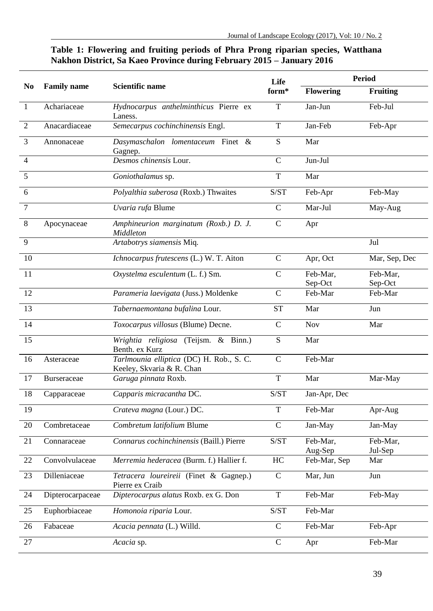# **Table 1: Flowering and fruiting periods of Phra Prong riparian species, Watthana Nakhon District, Sa Kaeo Province during February 2015 – January 2016**

|                 | <b>Family name</b> | <b>Scientific name</b>                                                | Life<br>form*                                      | <b>Period</b>       |                     |
|-----------------|--------------------|-----------------------------------------------------------------------|----------------------------------------------------|---------------------|---------------------|
| No              |                    |                                                                       |                                                    | <b>Flowering</b>    | <b>Fruiting</b>     |
| 1               | Achariaceae        | Hydnocarpus anthelminthicus Pierre ex<br>Laness.                      | T                                                  | Jan-Jun             | Feb-Jul             |
| $\overline{2}$  | Anacardiaceae      | Semecarpus cochinchinensis Engl.                                      | $\mathbf T$                                        | Jan-Feb             | Feb-Apr             |
| 3               | Annonaceae         | Dasymaschalon lomentaceum Finet &<br>Gagnep.                          | S                                                  | Mar                 |                     |
| 4               |                    | Desmos chinensis Lour.                                                | $\mathcal{C}$                                      | Jun-Jul             |                     |
| 5               |                    | Goniothalamus sp.                                                     | $\mathbf T$                                        | Mar                 |                     |
| 6               |                    | Polyalthia suberosa (Roxb.) Thwaites                                  | $\ensuremath{\mathrm{S}}/\ensuremath{\mathrm{ST}}$ | Feb-Apr             | Feb-May             |
| $\tau$          |                    | Uvaria rufa Blume                                                     | $\mathsf{C}$                                       | Mar-Jul             | May-Aug             |
| 8               | Apocynaceae        | Amphineurion marginatum (Roxb.) D. J.<br>Middleton                    | $\mathsf{C}$                                       | Apr                 |                     |
| 9               |                    | Artabotrys siamensis Miq.                                             |                                                    |                     | Jul                 |
| 10              |                    | Ichnocarpus frutescens (L.) W. T. Aiton                               | $\mathsf{C}$                                       | Apr, Oct            | Mar, Sep, Dec       |
| 11              |                    | Oxystelma esculentum (L. f.) Sm.                                      | C                                                  | Feb-Mar,<br>Sep-Oct | Feb-Mar,<br>Sep-Oct |
| 12              |                    | Parameria laevigata (Juss.) Moldenke                                  | $\mathcal{C}$                                      | Feb-Mar             | Feb-Mar             |
| 13              |                    | Tabernaemontana bufalina Lour.                                        | <b>ST</b>                                          | Mar                 | Jun                 |
| 14              |                    | Toxocarpus villosus (Blume) Decne.                                    | $\mathsf{C}$                                       | <b>Nov</b>          | Mar                 |
| $\overline{15}$ |                    | Wrightia religiosa (Teijsm. & Binn.)<br>Benth. ex Kurz                | S                                                  | Mar                 |                     |
| 16              | Asteraceae         | Tarlmounia elliptica (DC) H. Rob., S. C.<br>Keeley, Skvaria & R. Chan | $\mathsf{C}$                                       | Feb-Mar             |                     |
| 17              | <b>Burseraceae</b> | Garuga pinnata Roxb.                                                  | T                                                  | Mar                 | Mar-May             |
| 18              | Capparaceae        | Capparis micracantha DC.                                              | S/ST                                               | Jan-Apr, Dec        |                     |
| 19              |                    | Crateva magna (Lour.) DC.                                             | T                                                  | Feb-Mar             | Apr-Aug             |
| 20              | Combretaceae       | Combretum latifolium Blume                                            | $\mathsf{C}$                                       | Jan-May             | Jan-May             |
| 21              | Connaraceae        | Connarus cochinchinensis (Baill.) Pierre                              | $\ensuremath{\mathrm{S}}/\ensuremath{\mathrm{ST}}$ | Feb-Mar,<br>Aug-Sep | Feb-Mar,<br>Jul-Sep |
| 22              | Convolvulaceae     | Merremia hederacea (Burm. f.) Hallier f.                              | HC                                                 | Feb-Mar, Sep        | Mar                 |
| 23              | Dilleniaceae       | Tetracera loureireii (Finet & Gagnep.)<br>Pierre ex Craib             | $\mathsf{C}$                                       | Mar, Jun            | Jun                 |
| 24              | Dipterocarpaceae   | Dipterocarpus alatus Roxb. ex G. Don                                  | $\mathbf T$                                        | Feb-Mar             | Feb-May             |
| 25              | Euphorbiaceae      | Homonoia riparia Lour.                                                | $\ensuremath{\mathrm{S}}/\ensuremath{\mathrm{ST}}$ | Feb-Mar             |                     |
| 26              | Fabaceae           | Acacia pennata (L.) Willd.                                            | $\mathbf C$                                        | Feb-Mar             | Feb-Apr             |
| 27              |                    | Acacia sp.                                                            | $\overline{C}$                                     | Apr                 | Feb-Mar             |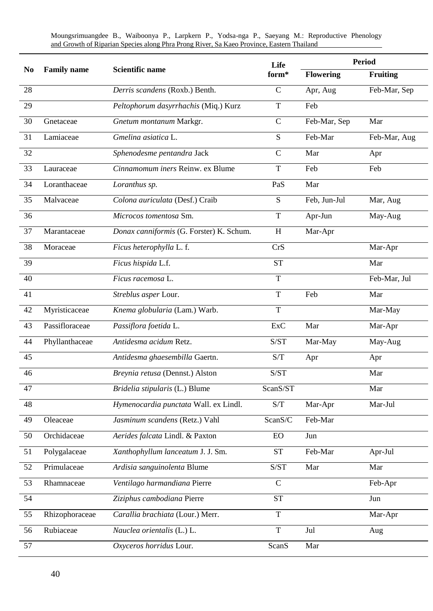**No Family name Scientific name Life form\* Period Flowering Fruiting** *Derris scandens* (Roxb.) Benth. C Apr, Aug Feb-Mar, Sep *Peltophorum dasyrrhachis* (Miq.) Kurz T Feb Gnetaceae *Gnetum montanum* Markgr. C Feb-Mar, Sep Mar Lamiaceae *Gmelina asiatica* L. S Feb-Mar Feb-Mar, Aug *Sphenodesme pentandra* Jack C Mar Apr Lauraceae *Cinnamomum iners* Reinw. ex Blume T Feb Feb Loranthaceae *Loranthus sp.* PaS Mar Malvaceae *Colona auriculata* (Desf.) Craib S Feb, Jun-Jul Mar, Aug *Microcos tomentosa* Sm. T Apr-Jun May-Aug Marantaceae *Donax canniformis* (G. Forster) K. Schum. H Mar-Apr Moraceae *Ficus heterophylla* L. f. CrS Mar-Apr *Ficus hispida* L.f. ST Mar *Ficus racemosa* L. T Feb-Mar, Jul *Streblus asper* Lour. T Feb Mar Myristicaceae *Knema globularia* (Lam.) Warb. T Mar-May Passifloraceae *Passiflora foetida* L. ExC Mar Mar-Apr Phyllanthaceae *Antidesma acidum* Retz. S/ST Mar-May May-Aug *Antidesma ghaesembilla* Gaertn. S/T Apr Apr *Breynia retusa* (Dennst.) Alston S/ST Mar *Bridelia stipularis* (L.) Blume ScanS/ST Mar *Hymenocardia punctata* Wall. ex Lindl. S/T Mar-Apr Mar-Jul 49 Oleaceae *Jasminum scandens* (Retz.) Vahl ScanS/C Feb-Mar Orchidaceae *Aerides falcata* Lindl. & Paxton EO Jun Polygalaceae *Xanthophyllum lanceatum* J. J. Sm. ST Feb-Mar Apr-Jul Primulaceae *Ardisia sanguinolenta* Blume S/ST Mar Mar Rhamnaceae *Ventilago harmandiana* Pierre C Feb-Apr *Ziziphus cambodiana* Pierre ST Jun Rhizophoraceae *Carallia brachiata* (Lour.) Merr. T Mar-Apr Rubiaceae *Nauclea orientalis* (L.) L. T Jul Aug *Oxyceros horridus* Lour. ScanS Mar

Moungsrimuangdee B., Waiboonya P., Larpkern P., Yodsa-nga P., Saeyang M.: Reproductive Phenology and Growth of Riparian Species along Phra Prong River, Sa Kaeo Province, Eastern Thailand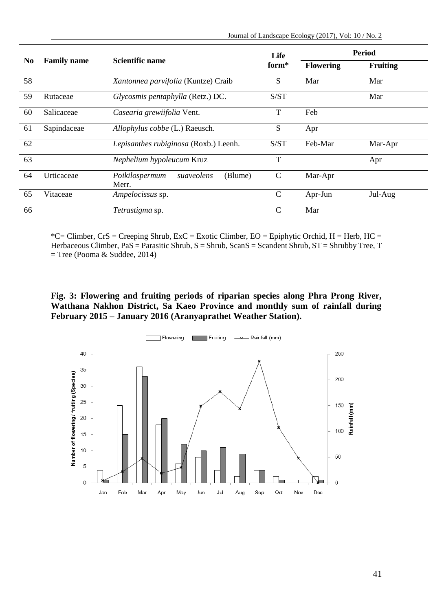| No | <b>Family name</b> |                                                  | Life<br>form* | Period           |          |
|----|--------------------|--------------------------------------------------|---------------|------------------|----------|
|    |                    | Scientific name                                  |               | <b>Flowering</b> | Fruiting |
| 58 |                    | Xantonnea parvifolia (Kuntze) Craib              | S             | Mar              | Mar      |
| 59 | Rutaceae           | Glycosmis pentaphylla (Retz.) DC.                | S/ST          |                  | Mar      |
| 60 | Salicaceae         | Casearia grewiifolia Vent.                       | T             | Feb              |          |
| 61 | Sapindaceae        | Allophylus cobbe (L.) Raeusch.                   | S             | Apr              |          |
| 62 |                    | Lepisanthes rubiginosa (Roxb.) Leenh.            | S/ST          | Feb-Mar          | Mar-Apr  |
| 63 |                    | Nephelium hypoleucum Kruz                        | T             |                  | Apr      |
| 64 | Urticaceae         | (Blume)<br>Poikilospermum<br>suaveolens<br>Merr. | $\mathcal{C}$ | Mar-Apr          |          |
| 65 | Vitaceae           | Ampelocissus sp.                                 | $\mathsf{C}$  | Apr-Jun          | Jul-Aug  |
| 66 |                    | Tetrastigma sp.                                  | C             | Mar              |          |

 $*C = Climber, CrS = Creeping Shrub, ExC = Exotic Climber, EO = Epiphytic Orchid, H = Herb, HC =$ Herbaceous Climber, PaS = Parasitic Shrub, S = Shrub, ScanS = Scandent Shrub, ST = Shrubby Tree, T  $=$  Tree (Pooma & Suddee, 2014)

# **Fig. 3: Flowering and fruiting periods of riparian species along Phra Prong River, Watthana Nakhon District, Sa Kaeo Province and monthly sum of rainfall during February 2015 – January 2016 (Aranyaprathet Weather Station).**

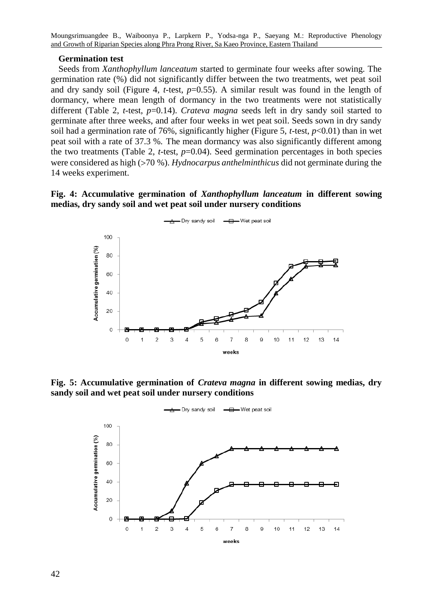#### **Germination test**

Seeds from *Xanthophyllum lanceatum* started to germinate four weeks after sowing. The germination rate (%) did not significantly differ between the two treatments, wet peat soil and dry sandy soil (Figure 4, *t*-test, *p*=0.55). A similar result was found in the length of dormancy, where mean length of dormancy in the two treatments were not statistically different (Table 2, *t-*test, *p*=0.14). *Crateva magna* seeds left in dry sandy soil started to germinate after three weeks, and after four weeks in wet peat soil. Seeds sown in dry sandy soil had a germination rate of 76%, significantly higher (Figure 5, *t-*test, *p*<0.01) than in wet peat soil with a rate of 37.3 %. The mean dormancy was also significantly different among the two treatments (Table 2, *t-*test, *p*=0.04). Seed germination percentages in both species were considered as high (70 %). *Hydnocarpus anthelminthicus* did not germinate during the 14 weeks experiment.

# **Fig. 4: Accumulative germination of** *Xanthophyllum lanceatum* **in different sowing medias, dry sandy soil and wet peat soil under nursery conditions**



**Fig. 5: Accumulative germination of** *Crateva magna* **in different sowing medias, dry sandy soil and wet peat soil under nursery conditions**

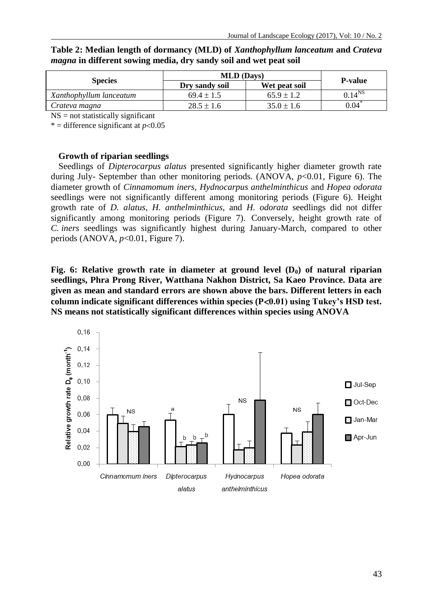|                         | <b>MLD</b> (Days) | <b>P-value</b> |             |
|-------------------------|-------------------|----------------|-------------|
| <b>Species</b>          | Dry sandy soil    | Wet peat soil  |             |
| Xanthophyllum lanceatum | $69.4 \pm 1.5$    | $65.9 \pm 1.2$ | $0.14^{NS}$ |
| Crateva magna           | $28.5 \pm 1.6$    | $35.0 \pm 1.6$ | 0.04        |

**Table 2: Median length of dormancy (MLD) of** *Xanthophyllum lanceatum* **and** *Crateva magna* **in different sowing media, dry sandy soil and wet peat soil**

 $NS = not statistically significant$ 

\* = difference significant at  $p<0.05$ 

## **Growth of riparian seedlings**

Seedlings of *Dipterocarpus alatus* presented significantly higher diameter growth rate during July- September than other monitoring periods. (ANOVA, *p*<0.01*,* Figure 6). The diameter growth of *Cinnamomum iners, Hydnocarpus anthelminthicus* and *Hopea odorata* seedlings were not significantly different among monitoring periods (Figure 6). Height growth rate of *D. alatus*, *H. anthelminthicus*, and *H. odorata* seedlings did not differ significantly among monitoring periods (Figure 7). Conversely, height growth rate of *C. iners* seedlings was significantly highest during January-March, compared to other periods (ANOVA, *p*<0.01, Figure 7).

**Fig. 6: Relative growth rate in diameter at ground level (D0) of natural riparian seedlings, Phra Prong River, Watthana Nakhon District, Sa Kaeo Province. Data are given as mean and standard errors are shown above the bars. Different letters in each column indicate significant differences within species (P0.01) using Tukey's HSD test. NS means not statistically significant differences within species using ANOVA**

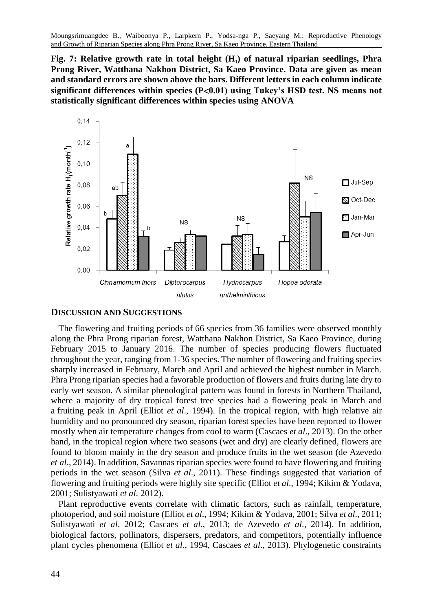**Fig. 7: Relative growth rate in total height (Ht) of natural riparian seedlings, Phra Prong River, Watthana Nakhon District, Sa Kaeo Province. Data are given as mean and standard errors are shown above the bars. Different letters in each column indicate significant differences within species (P0.01) using Tukey's HSD test. NS means not statistically significant differences within species using ANOVA**



## **DISCUSSION AND SUGGESTIONS**

The flowering and fruiting periods of 66 species from 36 families were observed monthly along the Phra Prong riparian forest, Watthana Nakhon District, Sa Kaeo Province, during February 2015 to January 2016. The number of species producing flowers fluctuated throughout the year, ranging from 1-36 species. The number of flowering and fruiting species sharply increased in February, March and April and achieved the highest number in March. Phra Prong riparian species had a favorable production of flowers and fruits during late dry to early wet season. A similar phenological pattern was found in forests in Northern Thailand, where a majority of dry tropical forest tree species had a flowering peak in March and a fruiting peak in April (Elliot *et al*., 1994). In the tropical region, with high relative air humidity and no pronounced dry season, riparian forest species have been reported to flower mostly when air temperature changes from cool to warm (Cascaes *et al*., 2013). On the other hand, in the tropical region where two seasons (wet and dry) are clearly defined, flowers are found to bloom mainly in the dry season and produce fruits in the wet season (de Azevedo *et al*., 2014). In addition, Savannas riparian species were found to have flowering and fruiting periods in the wet season (Silva *et al*., 2011). These findings suggested that variation of flowering and fruiting periods were highly site specific (Elliot *et al*., 1994; Kikim & Yodava, 2001; Sulistyawati *et al*. 2012).

Plant reproductive events correlate with climatic factors, such as rainfall, temperature, photoperiod, and soil moisture (Elliot *et al*., 1994; Kikim & Yodava, 2001; Silva *et al*., 2011; Sulistyawati *et al*. 2012; Cascaes *et al*., 2013; de Azevedo *et al*., 2014). In addition, biological factors, pollinators, dispersers, predators, and competitors, potentially influence plant cycles phenomena (Elliot *et al*., 1994, Cascaes *et al*., 2013). Phylogenetic constraints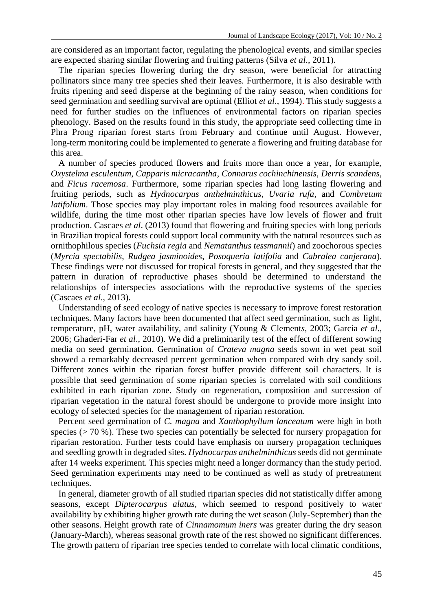are considered as an important factor, regulating the phenological events, and similar species are expected sharing similar flowering and fruiting patterns (Silva *et al*., 2011).

The riparian species flowering during the dry season, were beneficial for attracting pollinators since many tree species shed their leaves. Furthermore, it is also desirable with fruits ripening and seed disperse at the beginning of the rainy season, when conditions for seed germination and seedling survival are optimal (Elliot *et al*., 1994). This study suggests a need for further studies on the influences of environmental factors on riparian species phenology. Based on the results found in this study, the appropriate seed collecting time in Phra Prong riparian forest starts from February and continue until August. However, long-term monitoring could be implemented to generate a flowering and fruiting database for this area.

A number of species produced flowers and fruits more than once a year, for example, *Oxystelma esculentum, Capparis micracantha*, *Connarus cochinchinensis*, *Derris scandens*, and *Ficus racemosa*. Furthermore, some riparian species had long lasting flowering and fruiting periods, such as *Hydnocarpus anthelminthicus*, *Uvaria rufa*, and *Combretum latifolium*. Those species may play important roles in making food resources available for wildlife, during the time most other riparian species have low levels of flower and fruit production. Cascaes *et al*. (2013) found that flowering and fruiting species with long periods in Brazilian tropical forests could support local community with the natural resources such as ornithophilous species (*Fuchsia regia* and *Nematanthus tessmannii*) and zoochorous species (*Myrcia spectabilis*, *Rudgea jasminoides*, *Posoqueria latifolia* and *Cabralea canjerana*). These findings were not discussed for tropical forests in general, and they suggested that the pattern in duration of reproductive phases should be determined to understand the relationships of interspecies associations with the reproductive systems of the species (Cascaes *et al*., 2013).

Understanding of seed ecology of native species is necessary to improve forest restoration techniques. Many factors have been documented that affect seed germination, such as light, temperature, pH, water availability, and salinity (Young & Clement*s*, 2003; Garcia *et al*., 2006; Ghaderi-Far *et al*., 2010). We did a preliminarily test of the effect of different sowing media on seed germination. Germination of *Crateva magna* seeds sown in wet peat soil showed a remarkably decreased percent germination when compared with dry sandy soil. Different zones within the riparian forest buffer provide different soil characters. It is possible that seed germination of some riparian species is correlated with soil conditions exhibited in each riparian zone. Study on regeneration, composition and succession of riparian vegetation in the natural forest should be undergone to provide more insight into ecology of selected species for the management of riparian restoration.

Percent seed germination of *C. magna* and *Xanthophyllum lanceatum* were high in both species  $(270\%)$ . These two species can potentially be selected for nursery propagation for riparian restoration. Further tests could have emphasis on nursery propagation techniques and seedling growth in degraded sites. *Hydnocarpus anthelminthicus* seeds did not germinate after 14 weeks experiment. This species might need a longer dormancy than the study period. Seed germination experiments may need to be continued as well as study of pretreatment techniques.

In general, diameter growth of all studied riparian species did not statistically differ among seasons, except *Dipterocarpus alatus,* which seemed to respond positively to water availability by exhibiting higher growth rate during the wet season (July-September) than the other seasons. Height growth rate of *Cinnamomum iners* was greater during the dry season (January-March), whereas seasonal growth rate of the rest showed no significant differences. The growth pattern of riparian tree species tended to correlate with local climatic conditions,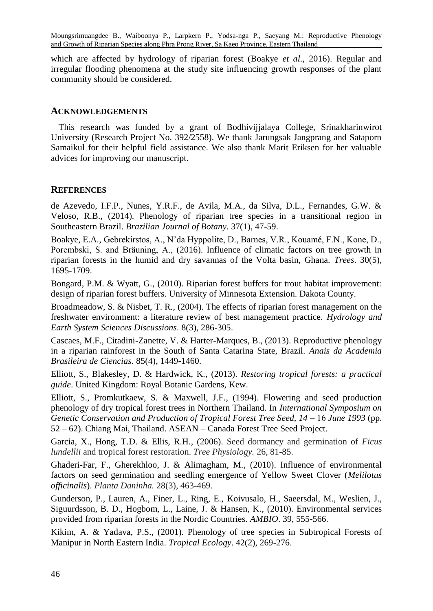which are affected by hydrology of riparian forest (Boakye *et al*., 2016). Regular and irregular flooding phenomena at the study site influencing growth responses of the plant community should be considered.

## **ACKNOWLEDGEMENTS**

This research was funded by a grant of Bodhivijjalaya College, Srinakharinwirot University (Research Project No. 392/2558). We thank Jarungsak Jangprang and Sataporn Samaikul for their helpful field assistance. We also thank Marit Eriksen for her valuable advices for improving our manuscript.

# **REFERENCES**

de Azevedo, I.F.P., Nunes, Y.R.F., de Avila, M.A., da Silva, D.L., Fernandes, G.W. & Veloso, R.B., (2014). Phenology of riparian tree species in a transitional region in Southeastern Brazil. *Brazilian Journal of Botany*. 37(1), 47-59.

Boakye, E.A., Gebrekirstos, A., N'da Hyppolite, D., Barnes, V.R., Kouamé, F.N., Kone, D., Porembski, S. and Bräuning, A., (2016). Influence of climatic factors on tree growth in riparian forests in the humid and dry savannas of the Volta basin, Ghana. *Trees*. 30(5), 1695-1709.

Bongard, P.M. & Wyatt, G., (2010). Riparian forest buffers for trout habitat improvement: design of riparian forest buffers. University of Minnesota Extension. Dakota County.

Broadmeadow, S. & Nisbet, T. R., (2004). The effects of riparian forest management on the freshwater environment: a literature review of best management practice. *Hydrology and Earth System Sciences Discussions*. 8(3), 286-305.

Cascaes, M.F., Citadini-Zanette, V. & Harter-Marques, B., (2013). Reproductive phenology in a riparian rainforest in the South of Santa Catarina State, Brazil. *Anais da Academia Brasileira de Ciencias.* 85(4), 1449-1460.

Elliott, S., Blakesley, D. & Hardwick, K., (2013). *Restoring tropical forests: a practical guide*. United Kingdom: Royal Botanic Gardens, Kew.

Elliott, S., Promkutkaew, S. & Maxwell, J.F., (1994). Flowering and seed production phenology of dry tropical forest trees in Northern Thailand. In *International Symposium on Genetic Conservation and Production of Tropical Forest Tree Seed, 14* – 16 *June 1993* (pp. 52 – 62). Chiang Mai, Thailand. ASEAN – Canada Forest Tree Seed Project.

Garcia, X., Hong, T.D. & Ellis, R.H., (2006). Seed dormancy and germination of *Ficus lundellii* and tropical forest restoration. *Tree Physiology.* 26, 81-85.

Ghaderi-Far, F., Gherekhloo, J. & Alimagham, M., (2010). Influence of environmental factors on seed germination and seedling emergence of Yellow Sweet Clover (*Melilotus officinalis*). *Planta Daninha.* 28(3), 463-469.

Gunderson, P., Lauren, A., Finer, L., Ring, E., Koivusalo, H., Saeersdal, M., Weslien, J., Siguurdsson, B. D., Hogbom, L., Laine, J. & Hansen, K., (2010). Environmental services provided from riparian forests in the Nordic Countries. *AMBIO*. 39, 555-566.

Kikim, A. & Yadava, P.S., (2001). Phenology of tree species in Subtropical Forests of Manipur in North Eastern India. *Tropical Ecology*. 42(2), 269-276.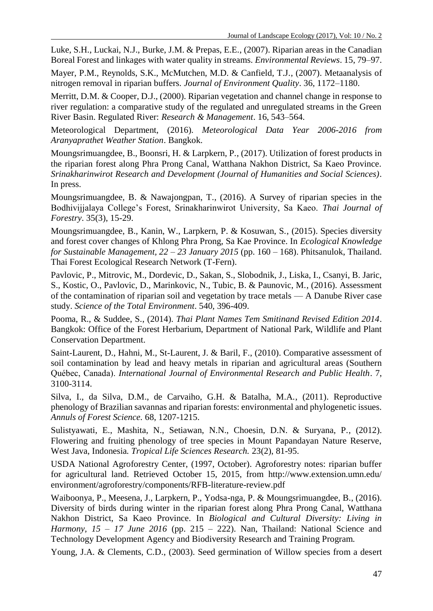Luke, S.H., Luckai, N.J., Burke, J.M. & Prepas, E.E., (2007). Riparian areas in the Canadian Boreal Forest and linkages with water quality in streams. *Environmental Reviews*. 15, 79–97.

Mayer, P.M., Reynolds, S.K., McMutchen, M.D. & Canfield, T.J., (2007). Metaanalysis of nitrogen removal in riparian buffers. *Journal of Environment Quality*. 36, 1172–1180.

Merritt, D.M. & Cooper, D.J., (2000). Riparian vegetation and channel change in response to river regulation: a comparative study of the regulated and unregulated streams in the Green River Basin. Regulated River: *Research & Management*. 16, 543–564.

Meteorological Department, (2016). *Meteorological Data Year 2006-2016 from Aranyaprathet Weather Station*. Bangkok.

Moungsrimuangdee, B., Boonsri, H. & Larpkern, P., (2017). Utilization of forest products in the riparian forest along Phra Prong Canal, Watthana Nakhon District, Sa Kaeo Province. *Srinakharinwirot Research and Development (Journal of Humanities and Social Sciences)*. In press.

Moungsrimuangdee, B. & Nawajongpan, T., (2016). A Survey of riparian species in the Bodhivijjalaya College's Forest, Srinakharinwirot University, Sa Kaeo. *Thai Journal of Forestry*. 35(3), 15-29.

Moungsrimuangdee, B., Kanin, W., Larpkern, P. & Kosuwan, S., (2015). Species diversity and forest cover changes of Khlong Phra Prong, Sa Kae Province. In *Ecological Knowledge for Sustainable Management, 22 – 23 January 2015* (pp. 160 – 168). Phitsanulok, Thailand. Thai Forest Ecological Research Network (T-Fern).

[Pavlovic, P.](http://www.ncbi.nlm.nih.gov/pubmed/?term=Pavlovi%C4%87%20P%5BAuthor%5D&cauthor=true&cauthor_uid=26184864)[, Mitrovic, M.,](http://www.ncbi.nlm.nih.gov/pubmed/?term=Mitrovi%C4%87%20M%5BAuthor%5D&cauthor=true&cauthor_uid=26184864) Dordevic, D., Sakan, S., Slobodnik, J., Liska, I., Csanyi, B. Jaric, S., Kostic, O., Pavlovic, D., Marinkovic, N., Tubic, B. & Paunovic, M., (2016). Assessment of the contamination of riparian soil and vegetation by trace metals — A Danube River case study. *Science of the Total Environment*. 540, 396-409.

Pooma, R., & Suddee, S., (2014). *Thai Plant Names Tem Smitinand Revised Edition 2014*. Bangkok: Office of the Forest Herbarium, Department of National Park, Wildlife and Plant Conservation Department.

Saint-Laurent, D., Hahni, M., St-Laurent, J. & Baril, F., (2010). Comparative assessment of soil contamination by lead and heavy metals in riparian and agricultural areas (Southern Québec, Canada). *International Journal of Environmental Research and Public Health*. 7, 3100-3114.

Silva, I., da Silva, D.M., de Carvaiho, G.H. & Batalha, M.A., (2011). Reproductive phenology of Brazilian savannas and riparian forests: environmental and phylogenetic issues. *Annuls of Forest Science.* 68, 1207-1215.

Sulistyawati, E., Mashita, N., Setiawan, N.N., Choesin, D.N. & Suryana, P., (2012). Flowering and fruiting phenology of tree species in Mount Papandayan Nature Reserve, West Java, Indonesia*. Tropical Life Sciences Research.* 23(2), 81-95.

USDA National Agroforestry Center, (1997, October). Agroforestry notes: riparian buffer for agricultural land. Retrieved October 15, 2015, from http://www.extension.umn.edu/ environment/agroforestry/components/RFB-literature-review.pdf

Waiboonya, P., Meesena, J., Larpkern, P., Yodsa-nga, P. & Moungsrimuangdee, B., (2016). Diversity of birds during winter in the riparian forest along Phra Prong Canal, Watthana Nakhon District, Sa Kaeo Province. In *Biological and Cultural Diversity: Living in Harmony, 15 – 17 June 2016* (pp. 215 – 222). Nan, Thailand: National Science and Technology Development Agency and Biodiversity Research and Training Program.

Young, J.A. & Clements, C.D., (2003). Seed germination of Willow species from a desert